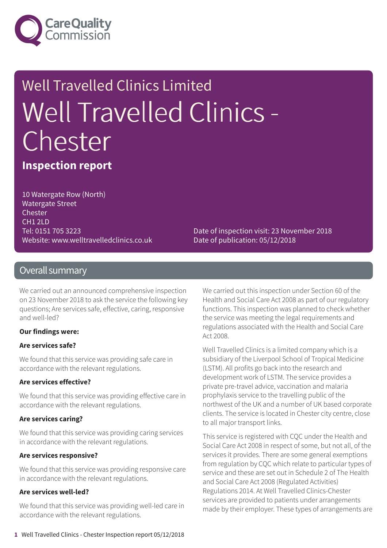

# Well Travelled Clinics Limited Well Travelled Clinics - Chester

**Inspection report**

10 Watergate Row (North) Watergate Street Chester CH1 2LD Tel: 0151 705 3223 Website: www.welltravelledclinics.co.uk

Date of inspection visit: 23 November 2018 Date of publication: 05/12/2018

#### Overall summary

We carried out an announced comprehensive inspection on 23 November 2018 to ask the service the following key questions; Are services safe, effective, caring, responsive and well-led?

#### **Our findings were:**

#### **Are services safe?**

We found that this service was providing safe care in accordance with the relevant regulations.

#### **Are services effective?**

We found that this service was providing effective care in accordance with the relevant regulations.

#### **Are services caring?**

We found that this service was providing caring services in accordance with the relevant regulations.

#### **Are services responsive?**

We found that this service was providing responsive care in accordance with the relevant regulations.

#### **Are services well-led?**

We found that this service was providing well-led care in accordance with the relevant regulations.

We carried out this inspection under Section 60 of the Health and Social Care Act 2008 as part of our regulatory functions. This inspection was planned to check whether the service was meeting the legal requirements and regulations associated with the Health and Social Care Act 2008.

Well Travelled Clinics is a limited company which is a subsidiary of the Liverpool School of Tropical Medicine (LSTM). All profits go back into the research and development work of LSTM. The service provides a private pre-travel advice, vaccination and malaria prophylaxis service to the travelling public of the northwest of the UK and a number of UK based corporate clients. The service is located in Chester city centre, close to all major transport links.

This service is registered with CQC under the Health and Social Care Act 2008 in respect of some, but not all, of the services it provides. There are some general exemptions from regulation by CQC which relate to particular types of service and these are set out in Schedule 2 of The Health and Social Care Act 2008 (Regulated Activities) Regulations 2014. At Well Travelled Clinics-Chester services are provided to patients under arrangements made by their employer. These types of arrangements are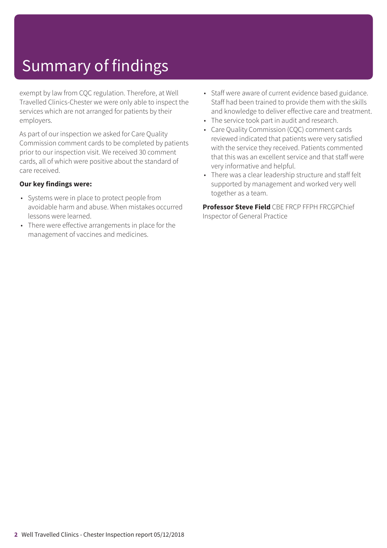# Summary of findings

exempt by law from CQC regulation. Therefore, at Well Travelled Clinics-Chester we were only able to inspect the services which are not arranged for patients by their employers.

As part of our inspection we asked for Care Quality Commission comment cards to be completed by patients prior to our inspection visit. We received 30 comment cards, all of which were positive about the standard of care received.

#### **Our key findings were:**

- Systems were in place to protect people from avoidable harm and abuse. When mistakes occurred lessons were learned.
- There were effective arrangements in place for the management of vaccines and medicines.
- Staff were aware of current evidence based guidance. Staff had been trained to provide them with the skills and knowledge to deliver effective care and treatment.
- The service took part in audit and research.
- Care Quality Commission (CQC) comment cards reviewed indicated that patients were very satisfied with the service they received. Patients commented that this was an excellent service and that staff were very informative and helpful.
- There was a clear leadership structure and staff felt supported by management and worked very well together as a team.

**Professor Steve Field** CBE FRCP FFPH FRCGPChief Inspector of General Practice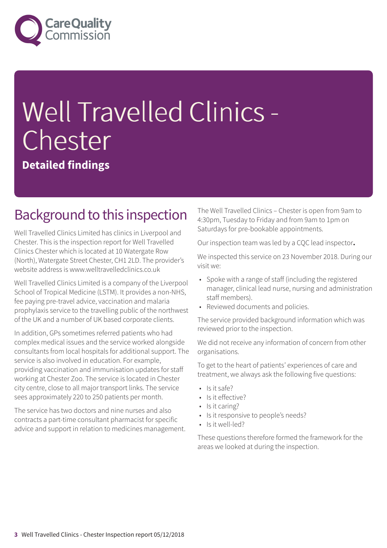

# Well Travelled Clinics - Chester

**Detailed findings**

### Background to this inspection

Well Travelled Clinics Limited has clinics in Liverpool and Chester. This is the inspection report for Well Travelled Clinics Chester which is located at 10 Watergate Row (North), Watergate Street Chester, CH1 2LD. The provider's website address is www.welltravelledclinics.co.uk

Well Travelled Clinics Limited is a company of the Liverpool School of Tropical Medicine (LSTM). It provides a non-NHS, fee paying pre-travel advice, vaccination and malaria prophylaxis service to the travelling public of the northwest of the UK and a number of UK based corporate clients.

In addition, GPs sometimes referred patients who had complex medical issues and the service worked alongside consultants from local hospitals for additional support. The service is also involved in education. For example, providing vaccination and immunisation updates for staff working at Chester Zoo. The service is located in Chester city centre, close to all major transport links. The service sees approximately 220 to 250 patients per month.

The service has two doctors and nine nurses and also contracts a part-time consultant pharmacist for specific advice and support in relation to medicines management. The Well Travelled Clinics – Chester is open from 9am to 4:30pm, Tuesday to Friday and from 9am to 1pm on Saturdays for pre-bookable appointments.

Our inspection team was led by a CQC lead inspector**.**

We inspected this service on 23 November 2018. During our visit we:

- Spoke with a range of staff (including the registered manager, clinical lead nurse, nursing and administration staff members).
- Reviewed documents and policies.

The service provided background information which was reviewed prior to the inspection.

We did not receive any information of concern from other organisations.

To get to the heart of patients' experiences of care and treatment, we always ask the following five questions:

- Is it safe?
- Is it effective?
- Is it caring?
- Is it responsive to people's needs?
- Is it well-led?

These questions therefore formed the framework for the areas we looked at during the inspection.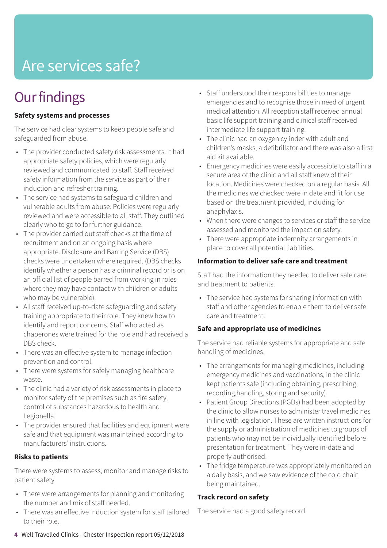# Are services safe?

# **Our findings**

#### **Safety systems and processes**

The service had clear systems to keep people safe and safeguarded from abuse.

- The provider conducted safety risk assessments. It had appropriate safety policies, which were regularly reviewed and communicated to staff. Staff received safety information from the service as part of their induction and refresher training.
- The service had systems to safeguard children and vulnerable adults from abuse. Policies were regularly reviewed and were accessible to all staff. They outlined clearly who to go to for further guidance.
- The provider carried out staff checks at the time of recruitment and on an ongoing basis where appropriate. Disclosure and Barring Service (DBS) checks were undertaken where required. (DBS checks identify whether a person has a criminal record or is on an official list of people barred from working in roles where they may have contact with children or adults who may be vulnerable).
- All staff received up-to-date safeguarding and safety training appropriate to their role. They knew how to identify and report concerns. Staff who acted as chaperones were trained for the role and had received a DBS check.
- There was an effective system to manage infection prevention and control.
- There were systems for safely managing healthcare waste.
- The clinic had a variety of risk assessments in place to monitor safety of the premises such as fire safety, control of substances hazardous to health and Legionella.
- The provider ensured that facilities and equipment were safe and that equipment was maintained according to manufacturers' instructions.

#### **Risks to patients**

There were systems to assess, monitor and manage risks to patient safety.

- There were arrangements for planning and monitoring the number and mix of staff needed.
- There was an effective induction system for staff tailored to their role.
- Staff understood their responsibilities to manage emergencies and to recognise those in need of urgent medical attention. All reception staff received annual basic life support training and clinical staff received intermediate life support training.
- The clinic had an oxygen cylinder with adult and children's masks, a defibrillator and there was also a first aid kit available.
- Emergency medicines were easily accessible to staff in a secure area of the clinic and all staff knew of their location. Medicines were checked on a regular basis. All the medicines we checked were in date and fit for use based on the treatment provided, including for anaphylaxis.
- When there were changes to services or staff the service assessed and monitored the impact on safety.
- There were appropriate indemnity arrangements in place to cover all potential liabilities.

#### **Information to deliver safe care and treatment**

Staff had the information they needed to deliver safe care and treatment to patients.

• The service had systems for sharing information with staff and other agencies to enable them to deliver safe care and treatment.

#### **Safe and appropriate use of medicines**

The service had reliable systems for appropriate and safe handling of medicines.

- The arrangements for managing medicines, including emergency medicines and vaccinations, in the clinic kept patients safe (including obtaining, prescribing, recording,handling, storing and security).
- Patient Group Directions (PGDs) had been adopted by the clinic to allow nurses to administer travel medicines in line with legislation. These are written instructions for the supply or administration of medicines to groups of patients who may not be individually identified before presentation for treatment. They were in-date and properly authorised.
- The fridge temperature was appropriately monitored on a daily basis, and we saw evidence of the cold chain being maintained.

#### **Track record on safety**

The service had a good safety record.

**4** Well Travelled Clinics - Chester Inspection report 05/12/2018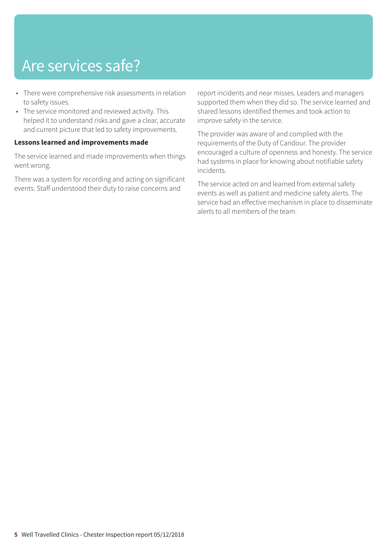# Are services safe?

- There were comprehensive risk assessments in relation to safety issues.
- The service monitored and reviewed activity. This helped it to understand risks and gave a clear, accurate and current picture that led to safety improvements.

#### **Lessons learned and improvements made**

The service learned and made improvements when things went wrong.

There was a system for recording and acting on significant events. Staff understood their duty to raise concerns and

report incidents and near misses. Leaders and managers supported them when they did so. The service learned and shared lessons identified themes and took action to improve safety in the service.

The provider was aware of and complied with the requirements of the Duty of Candour. The provider encouraged a culture of openness and honesty. The service had systems in place for knowing about notifiable safety incidents.

The service acted on and learned from external safety events as well as patient and medicine safety alerts. The service had an effective mechanism in place to disseminate alerts to all members of the team.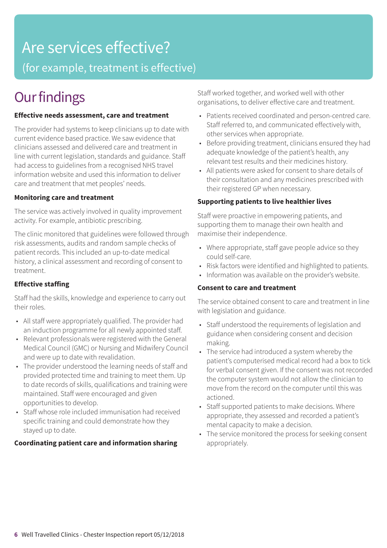# Are services effective?

(for example, treatment is effective)

## **Our findings**

#### **Effective needs assessment, care and treatment**

The provider had systems to keep clinicians up to date with current evidence based practice. We saw evidence that clinicians assessed and delivered care and treatment in line with current legislation, standards and guidance. Staff had access to guidelines from a recognised NHS travel information website and used this information to deliver care and treatment that met peoples' needs.

#### **Monitoring care and treatment**

The service was actively involved in quality improvement activity. For example, antibiotic prescribing.

The clinic monitored that guidelines were followed through risk assessments, audits and random sample checks of patient records. This included an up-to-date medical history, a clinical assessment and recording of consent to treatment.

#### **Effective staffing**

Staff had the skills, knowledge and experience to carry out their roles.

- All staff were appropriately qualified. The provider had an induction programme for all newly appointed staff.
- Relevant professionals were registered with the General Medical Council (GMC) or Nursing and Midwifery Council and were up to date with revalidation.
- The provider understood the learning needs of staff and provided protected time and training to meet them. Up to date records of skills, qualifications and training were maintained. Staff were encouraged and given opportunities to develop.
- Staff whose role included immunisation had received specific training and could demonstrate how they stayed up to date.

#### **Coordinating patient care and information sharing**

Staff worked together, and worked well with other organisations, to deliver effective care and treatment.

- Patients received coordinated and person-centred care. Staff referred to, and communicated effectively with, other services when appropriate.
- Before providing treatment, clinicians ensured they had adequate knowledge of the patient's health, any relevant test results and their medicines history.
- All patients were asked for consent to share details of their consultation and any medicines prescribed with their registered GP when necessary.

#### **Supporting patients to live healthier lives**

Staff were proactive in empowering patients, and supporting them to manage their own health and maximise their independence.

- Where appropriate, staff gave people advice so they could self-care.
- Risk factors were identified and highlighted to patients.
- Information was available on the provider's website.

#### **Consent to care and treatment**

The service obtained consent to care and treatment in line with legislation and guidance.

- Staff understood the requirements of legislation and guidance when considering consent and decision making.
- The service had introduced a system whereby the patient's computerised medical record had a box to tick for verbal consent given. If the consent was not recorded the computer system would not allow the clinician to move from the record on the computer until this was actioned.
- Staff supported patients to make decisions. Where appropriate, they assessed and recorded a patient's mental capacity to make a decision.
- The service monitored the process for seeking consent appropriately.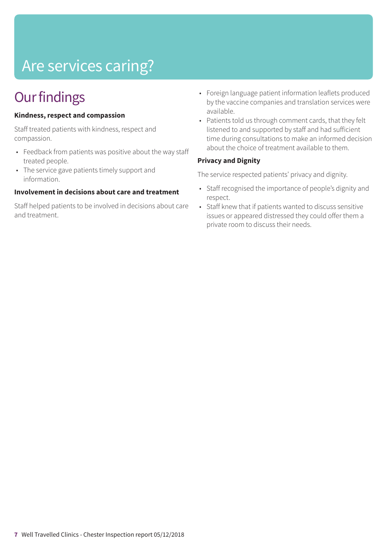# Are services caring?

# **Our findings**

#### **Kindness, respect and compassion**

Staff treated patients with kindness, respect and compassion.

- Feedback from patients was positive about the way staff treated people.
- The service gave patients timely support and information.

#### **Involvement in decisions about care and treatment**

Staff helped patients to be involved in decisions about care and treatment.

- Foreign language patient information leaflets produced by the vaccine companies and translation services were available.
- Patients told us through comment cards, that they felt listened to and supported by staff and had sufficient time during consultations to make an informed decision about the choice of treatment available to them.

#### **Privacy and Dignity**

The service respected patients' privacy and dignity.

- Staff recognised the importance of people's dignity and respect.
- Staff knew that if patients wanted to discuss sensitive issues or appeared distressed they could offer them a private room to discuss their needs.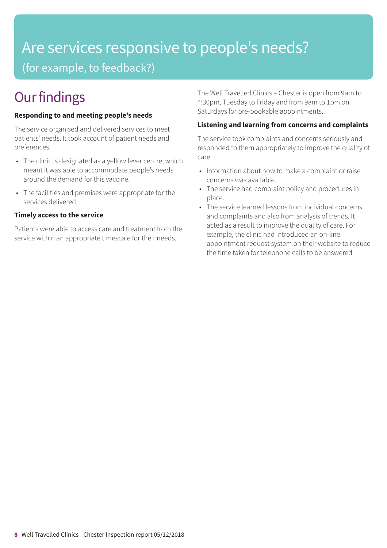# Are services responsive to people's needs?

(for example, to feedback?)

# **Our findings**

#### **Responding to and meeting people's needs**

The service organised and delivered services to meet patients' needs. It took account of patient needs and preferences.

- The clinic is designated as a yellow fever centre, which meant it was able to accommodate people's needs around the demand for this vaccine.
- The facilities and premises were appropriate for the services delivered.

#### **Timely access to the service**

Patients were able to access care and treatment from the service within an appropriate timescale for their needs.

The Well Travelled Clinics – Chester is open from 9am to 4:30pm, Tuesday to Friday and from 9am to 1pm on Saturdays for pre-bookable appointments.

#### **Listening and learning from concerns and complaints**

The service took complaints and concerns seriously and responded to them appropriately to improve the quality of care.

- Information about how to make a complaint or raise concerns was available.
- The service had complaint policy and procedures in place.
- The service learned lessons from individual concerns and complaints and also from analysis of trends. It acted as a result to improve the quality of care. For example, the clinic had introduced an on-line appointment request system on their website to reduce the time taken for telephone calls to be answered.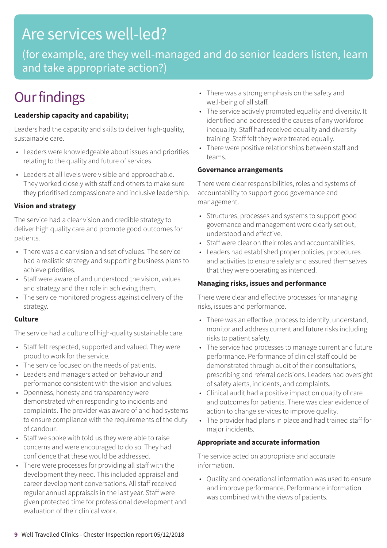### Are services well-led?

(for example, are they well-managed and do senior leaders listen, learn and take appropriate action?)

## **Our findings**

#### **Leadership capacity and capability;**

Leaders had the capacity and skills to deliver high-quality, sustainable care.

- Leaders were knowledgeable about issues and priorities relating to the quality and future of services.
- Leaders at all levels were visible and approachable. They worked closely with staff and others to make sure they prioritised compassionate and inclusive leadership.

#### **Vision and strategy**

The service had a clear vision and credible strategy to deliver high quality care and promote good outcomes for patients.

- There was a clear vision and set of values. The service had a realistic strategy and supporting business plans to achieve priorities.
- Staff were aware of and understood the vision, values and strategy and their role in achieving them.
- The service monitored progress against delivery of the strategy.

#### **Culture**

The service had a culture of high-quality sustainable care.

- Staff felt respected, supported and valued. They were proud to work for the service.
- The service focused on the needs of patients.
- Leaders and managers acted on behaviour and performance consistent with the vision and values.
- Openness, honesty and transparency were demonstrated when responding to incidents and complaints. The provider was aware of and had systems to ensure compliance with the requirements of the duty of candour.
- Staff we spoke with told us they were able to raise concerns and were encouraged to do so. They had confidence that these would be addressed.
- There were processes for providing all staff with the development they need. This included appraisal and career development conversations. All staff received regular annual appraisals in the last year. Staff were given protected time for professional development and evaluation of their clinical work.
- There was a strong emphasis on the safety and well-being of all staff.
- The service actively promoted equality and diversity. It identified and addressed the causes of any workforce inequality. Staff had received equality and diversity training. Staff felt they were treated equally.
- There were positive relationships between staff and teams.

#### **Governance arrangements**

There were clear responsibilities, roles and systems of accountability to support good governance and management.

- Structures, processes and systems to support good governance and management were clearly set out, understood and effective.
- Staff were clear on their roles and accountabilities.
- Leaders had established proper policies, procedures and activities to ensure safety and assured themselves that they were operating as intended.

#### **Managing risks, issues and performance**

There were clear and effective processes for managing risks, issues and performance.

- There was an effective, process to identify, understand, monitor and address current and future risks including risks to patient safety.
- The service had processes to manage current and future performance. Performance of clinical staff could be demonstrated through audit of their consultations, prescribing and referral decisions. Leaders had oversight of safety alerts, incidents, and complaints.
- Clinical audit had a positive impact on quality of care and outcomes for patients. There was clear evidence of action to change services to improve quality.
- The provider had plans in place and had trained staff for major incidents.

#### **Appropriate and accurate information**

The service acted on appropriate and accurate information.

• Quality and operational information was used to ensure and improve performance. Performance information was combined with the views of patients.